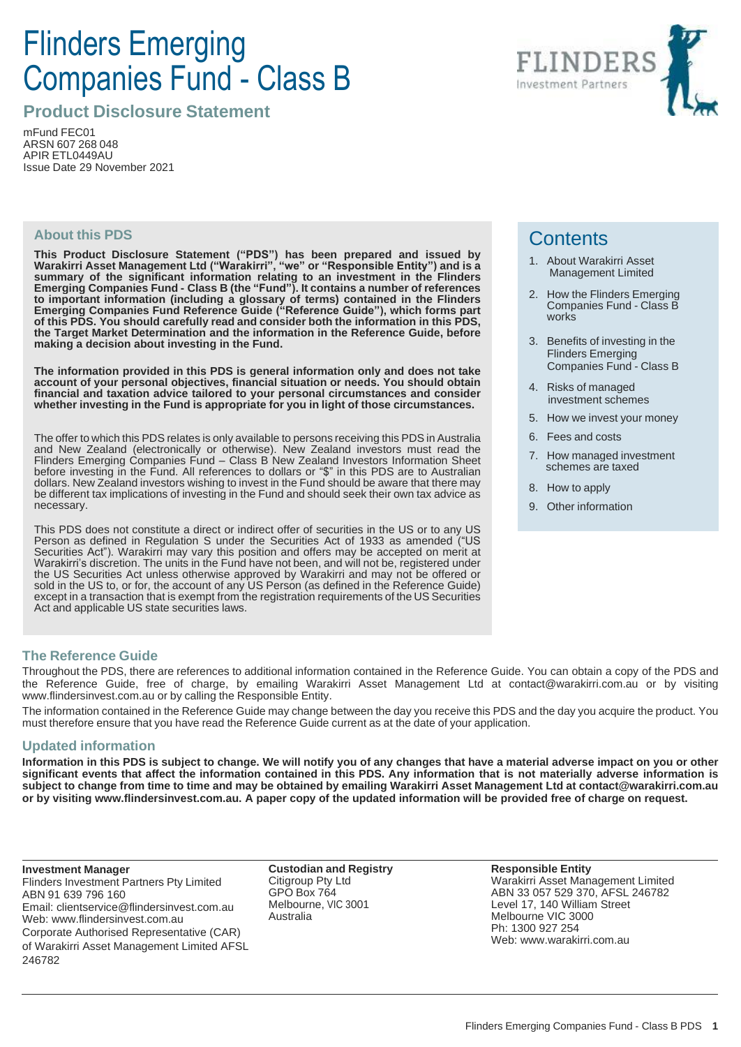# Flinders Emerging Companies Fund - Class B

**Product Disclosure Statement**

mFund FEC01 ARSN 607 268 048 APIR ETL0449AU Issue Date 29 November 2021

#### **About this PDS**

**This Product Disclosure Statement ("PDS") has been prepared and issued by Warakirri Asset Management Ltd ("Warakirri", "we" or "Responsible Entity") and is a summary of the significant information relating to an investment in the Flinders Emerging Companies Fund - Class B (the "Fund"). It contains a number of references to important information (including a glossary of terms) contained in the Flinders Emerging Companies Fund Reference Guide ("Reference Guide"), which forms part of this PDS. You should carefully read and consider both the information in this PDS, the Target Market Determination and the information in the Reference Guide, before making a decision about investing in the Fund.**

**The information provided in this PDS is general information only and does not take account of your personal objectives, financial situation or needs. You should obtain financial and taxation advice tailored to your personal circumstances and consider whether investing in the Fund is appropriate for you in light of those circumstances.**

The offer to which this PDS relates is only available to persons receiving this PDS in Australia and New Zealand (electronically or otherwise). New Zealand investors must read the Flinders Emerging Companies Fund – Class B New Zealand Investors Information Sheet before investing in the Fund. All references to dollars or "\$" in this PDS are to Australian dollars. New Zealand investors wishing to invest in the Fund should be aware that there may be different tax implications of investing in the Fund and should seek their own tax advice as necessary.

This PDS does not constitute a direct or indirect offer of securities in the US or to any US Person as defined in Regulation S under the Securities Act of 1933 as amended ("US Securities Act"). Warakirri may vary this position and offers may be accepted on merit at Warakirri's discretion. The units in the Fund have not been, and will not be, registered under the US Securities Act unless otherwise approved by Warakirri and may not be offered or sold in the US to, or for, the account of any US Person (as defined in the Reference Guide) except in a transaction that is exempt from the registration requirements of the US Securities Act and applicable US state securities laws.

# **Contents**

- 1. About Warakirri Asset Management Limited
- 2. How the Flinders Emerging Companies Fund - Class B works
- 3. Benefits of investing in the Flinders Emerging Companies Fund - Class B
- 4. Risks of managed investment schemes
- 5. How we invest your money
- 6. Fees and costs
- 7. How managed investment schemes are taxed
- 8. How to apply
- 9. Other information

#### **The Reference Guide**

Throughout the PDS, there are references to additional information contained in the Reference Guide. You can obtain a copy of the PDS and the Reference Guide, free of charge, by emailing Warakirri Asset Management Ltd at contact@warakirri.com.au or by visiting www.flindersinvest.com.au or by calling the Responsible Entity.

The information contained in the Reference Guide may change between the day you receive this PDS and the day you acquire the product. You must therefore ensure that you have read the Reference Guide current as at the date of your application.

#### **Updated information**

Information in this PDS is subject to change. We will notify you of any changes that have a material adverse impact on you or other significant events that affect the information contained in this PDS. Any information that is not materially adverse information is subject to change from time to time and may be obtained by emailing Warakirri Asset Management Ltd at contact@warakirri.com.au or by visiting www.flindersinvest.com.au. A paper copy of the updated information will be provided free of charge on request.

**Investment Manager**

Flinders Investment Partners Pty Limited ABN 91 639 796 160 Email: clientservice@flindersinvest.com.au Web: www.flindersinvest.com.au Corporate Authorised Representative (CAR) of Warakirri Asset Management Limited AFSL 246782

**Custodian and Registry** Citigroup Pty Ltd GPO Box 764 Melbourne, VIC 3001 Australia

**Responsible Entity** Warakirri Asset Management Limited ABN 33 057 529 370, AFSL 246782 Level 17, 140 William Street Melbourne VIC 3000 Ph: 1300 927 254 Web: www.warakirri.com.au

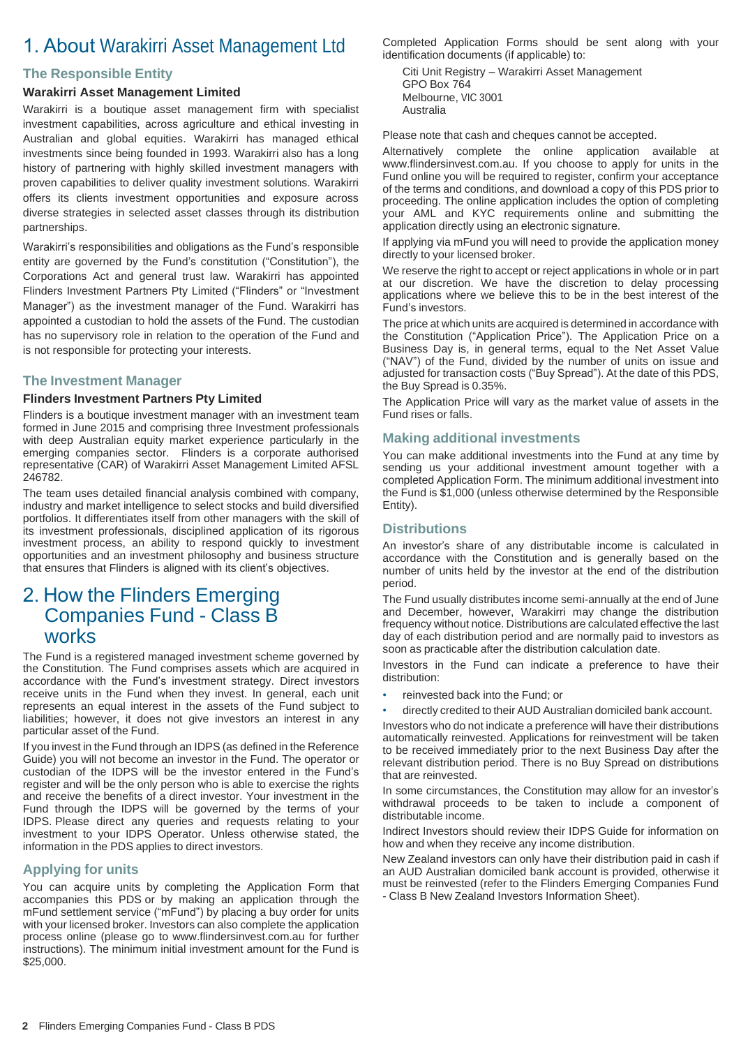# 1. About Warakirri Asset Management Ltd

#### **The Responsible Entity**

#### **Warakirri Asset Management Limited**

Warakirri is a boutique asset management firm with specialist investment capabilities, across agriculture and ethical investing in Australian and global equities. Warakirri has managed ethical investments since being founded in 1993. Warakirri also has a long history of partnering with highly skilled investment managers with proven capabilities to deliver quality investment solutions. Warakirri offers its clients investment opportunities and exposure across diverse strategies in selected asset classes through its distribution partnerships.

Warakirri's responsibilities and obligations as the Fund's responsible entity are governed by the Fund's constitution ("Constitution"), the Corporations Act and general trust law. Warakirri has appointed Flinders Investment Partners Pty Limited ("Flinders" or "Investment Manager") as the investment manager of the Fund. Warakirri has appointed a custodian to hold the assets of the Fund. The custodian has no supervisory role in relation to the operation of the Fund and is not responsible for protecting your interests.

#### **The Investment Manager**

#### **Flinders Investment Partners Pty Limited**

Flinders is a boutique investment manager with an investment team formed in June 2015 and comprising three Investment professionals with deep Australian equity market experience particularly in the emerging companies sector. Flinders is a corporate authorised representative (CAR) of Warakirri Asset Management Limited AFSL 246782.

The team uses detailed financial analysis combined with company, industry and market intelligence to select stocks and build diversified portfolios. It differentiates itself from other managers with the skill of its investment professionals, disciplined application of its rigorous investment process, an ability to respond quickly to investment opportunities and an investment philosophy and business structure that ensures that Flinders is aligned with its client's objectives.

### 2. How the Flinders Emerging Companies Fund - Class B works

The Fund is a registered managed investment scheme governed by the Constitution. The Fund comprises assets which are acquired in accordance with the Fund's investment strategy. Direct investors receive units in the Fund when they invest. In general, each unit represents an equal interest in the assets of the Fund subject to liabilities; however, it does not give investors an interest in any particular asset of the Fund.

If you invest in the Fund through an IDPS (as defined in the Reference Guide) you will not become an investor in the Fund. The operator or custodian of the IDPS will be the investor entered in the Fund's register and will be the only person who is able to exercise the rights and receive the benefits of a direct investor. Your investment in the Fund through the IDPS will be governed by the terms of your IDPS. Please direct any queries and requests relating to your investment to your IDPS Operator. Unless otherwise stated, the information in the PDS applies to direct investors.

#### **Applying for units**

You can acquire units by completing the Application Form that accompanies this PDS or by making an application through the mFund settlement service ("mFund") by placing a buy order for units with your licensed broker. Investors can also complete the application process online (please go to www.flindersinvest.com.au for further instructions). The minimum initial investment amount for the Fund is \$25,000.

Completed Application Forms should be sent along with your identification documents (if applicable) to:

Citi Unit Registry – Warakirri Asset Management GPO Box 764 Melbourne, VIC 3001 Australia

Please note that cash and cheques cannot be accepted.

Alternatively complete the online application available at www.flindersinvest.com.au. If you choose to apply for units in the Fund online you will be required to register, confirm your acceptance of the terms and conditions, and download a copy of this PDS prior to proceeding. The online application includes the option of completing your AML and KYC requirements online and submitting the application directly using an electronic signature.

If applying via mFund you will need to provide the application money directly to your licensed broker.

We reserve the right to accept or reject applications in whole or in part at our discretion. We have the discretion to delay processing applications where we believe this to be in the best interest of the Fund's investors.

The price at which units are acquired is determined in accordance with the Constitution ("Application Price"). The Application Price on a Business Day is, in general terms, equal to the Net Asset Value ("NAV") of the Fund, divided by the number of units on issue and adjusted for transaction costs ("Buy Spread"). At the date of this PDS, the Buy Spread is 0.35%.

The Application Price will vary as the market value of assets in the Fund rises or falls.

#### **Making additional investments**

You can make additional investments into the Fund at any time by sending us your additional investment amount together with a completed Application Form. The minimum additional investment into the Fund is \$1,000 (unless otherwise determined by the Responsible Entity).

#### **Distributions**

An investor's share of any distributable income is calculated in accordance with the Constitution and is generally based on the number of units held by the investor at the end of the distribution period.

The Fund usually distributes income semi-annually at the end of June and December, however, Warakirri may change the distribution frequency without notice. Distributions are calculated effective the last day of each distribution period and are normally paid to investors as soon as practicable after the distribution calculation date.

Investors in the Fund can indicate a preference to have their distribution:

- reinvested back into the Fund; or
- directly credited to their AUD Australian domiciled bank account.

Investors who do not indicate a preference will have their distributions automatically reinvested. Applications for reinvestment will be taken to be received immediately prior to the next Business Day after the relevant distribution period. There is no Buy Spread on distributions that are reinvested.

In some circumstances, the Constitution may allow for an investor's withdrawal proceeds to be taken to include a component of distributable income.

Indirect Investors should review their IDPS Guide for information on how and when they receive any income distribution.

New Zealand investors can only have their distribution paid in cash if an AUD Australian domiciled bank account is provided, otherwise it must be reinvested (refer to the Flinders Emerging Companies Fund - Class B New Zealand Investors Information Sheet).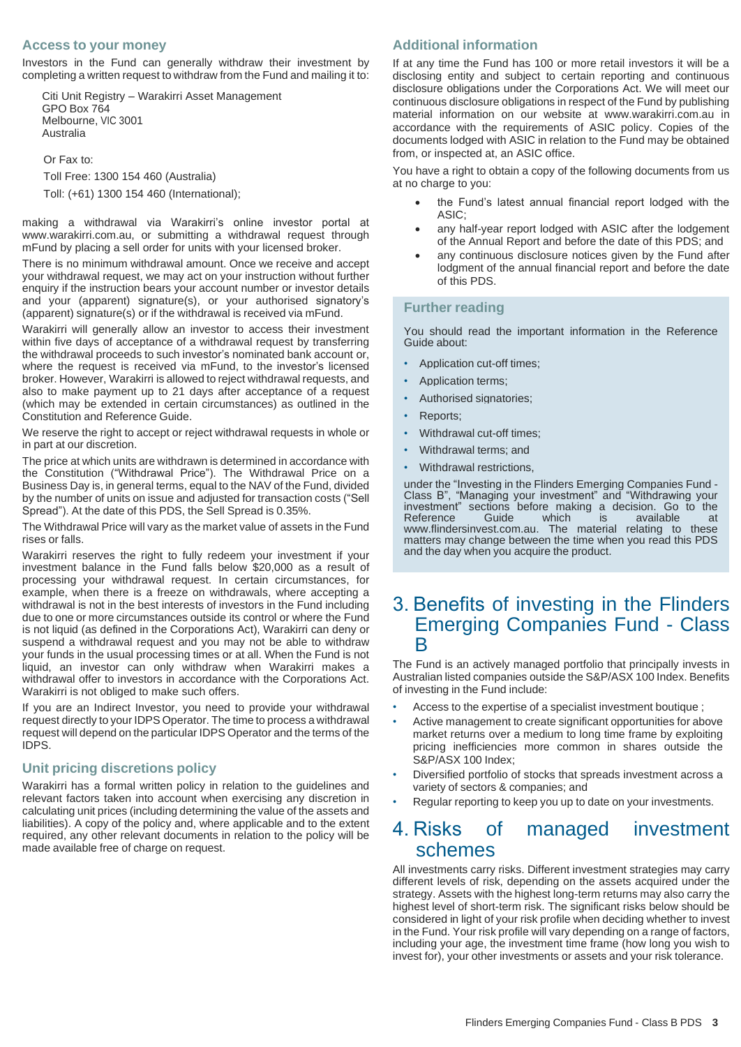#### **Access to your money**

Investors in the Fund can generally withdraw their investment by completing a written request to withdraw from the Fund and mailing it to:

Citi Unit Registry – Warakirri Asset Management GPO Box 764 Melbourne, VIC 3001 Australia

Or Fax to:

Toll Free: 1300 154 460 (Australia)

Toll: (+61) 1300 154 460 (International);

making a withdrawal via Warakirri's online investor portal at www.warakirri.com.au, or submitting a withdrawal request through mFund by placing a sell order for units with your licensed broker.

There is no minimum withdrawal amount. Once we receive and accept your withdrawal request, we may act on your instruction without further enquiry if the instruction bears your account number or investor details and your (apparent) signature(s), or your authorised signatory's (apparent) signature(s) or if the withdrawal is received via mFund.

Warakirri will generally allow an investor to access their investment within five days of acceptance of a withdrawal request by transferring the withdrawal proceeds to such investor's nominated bank account or, where the request is received via mFund, to the investor's licensed broker. However, Warakirri is allowed to reject withdrawal requests, and also to make payment up to 21 days after acceptance of a request (which may be extended in certain circumstances) as outlined in the Constitution and Reference Guide.

We reserve the right to accept or reject withdrawal requests in whole or in part at our discretion.

The price at which units are withdrawn is determined in accordance with the Constitution ("Withdrawal Price"). The Withdrawal Price on a Business Day is, in general terms, equal to the NAV of the Fund, divided by the number of units on issue and adjusted for transaction costs ("Sell Spread"). At the date of this PDS, the Sell Spread is 0.35%.

The Withdrawal Price will vary as the market value of assets in the Fund rises or falls.

Warakirri reserves the right to fully redeem your investment if your investment balance in the Fund falls below \$20,000 as a result of processing your withdrawal request. In certain circumstances, for example, when there is a freeze on withdrawals, where accepting a withdrawal is not in the best interests of investors in the Fund including due to one or more circumstances outside its control or where the Fund is not liquid (as defined in the Corporations Act), Warakirri can deny or suspend a withdrawal request and you may not be able to withdraw your funds in the usual processing times or at all. When the Fund is not liquid, an investor can only withdraw when Warakirri makes a withdrawal offer to investors in accordance with the Corporations Act. Warakirri is not obliged to make such offers.

If you are an Indirect Investor, you need to provide your withdrawal request directly to your IDPS Operator. The time to process a withdrawal request will depend on the particular IDPS Operator and the terms of the IDPS.

#### **Unit pricing discretions policy**

Warakirri has a formal written policy in relation to the guidelines and relevant factors taken into account when exercising any discretion in calculating unit prices (including determining the value of the assets and liabilities). A copy of the policy and, where applicable and to the extent required, any other relevant documents in relation to the policy will be made available free of charge on request.

#### **Additional information**

If at any time the Fund has 100 or more retail investors it will be a disclosing entity and subject to certain reporting and continuous disclosure obligations under the Corporations Act. We will meet our continuous disclosure obligations in respect of the Fund by publishing material information on our website at www.warakirri.com.au in accordance with the requirements of ASIC policy. Copies of the documents lodged with ASIC in relation to the Fund may be obtained from, or inspected at, an ASIC office.

You have a right to obtain a copy of the following documents from us at no charge to you:

- the Fund's latest annual financial report lodged with the ASIC;
- any half-year report lodged with ASIC after the lodgement of the Annual Report and before the date of this PDS; and
- any continuous disclosure notices given by the Fund after lodgment of the annual financial report and before the date of this PDS.

#### **Further reading**

You should read the important information in the Reference Guide about:

- Application cut-off times;
- Application terms;
- Authorised signatories:
- Reports;
- Withdrawal cut-off times;
- Withdrawal terms; and
- Withdrawal restrictions,

under the "Investing in the Flinders Emerging Companies Fund - Class B", "Managing your investment" and "Withdrawing your investment" sections before making a decision. Go to the Reference Guide which is available at www.flindersinvest.com.au. The material relating to these matters may change between the time when you read this PDS and the day when you acquire the product.

### 3. Benefits of investing in the Flinders Emerging Companies Fund - Class B

The Fund is an actively managed portfolio that principally invests in Australian listed companies outside the S&P/ASX 100 Index. Benefits of investing in the Fund include:

- Access to the expertise of a specialist investment boutique ;
- Active management to create significant opportunities for above market returns over a medium to long time frame by exploiting pricing inefficiencies more common in shares outside the S&P/ASX 100 Index;
- Diversified portfolio of stocks that spreads investment across a variety of sectors & companies; and
- Regular reporting to keep you up to date on your investments.

### 4. Risks of managed investment schemes

All investments carry risks. Different investment strategies may carry different levels of risk, depending on the assets acquired under the strategy. Assets with the highest long-term returns may also carry the highest level of short-term risk. The significant risks below should be considered in light of your risk profile when deciding whether to invest in the Fund. Your risk profile will vary depending on a range of factors, including your age, the investment time frame (how long you wish to invest for), your other investments or assets and your risk tolerance.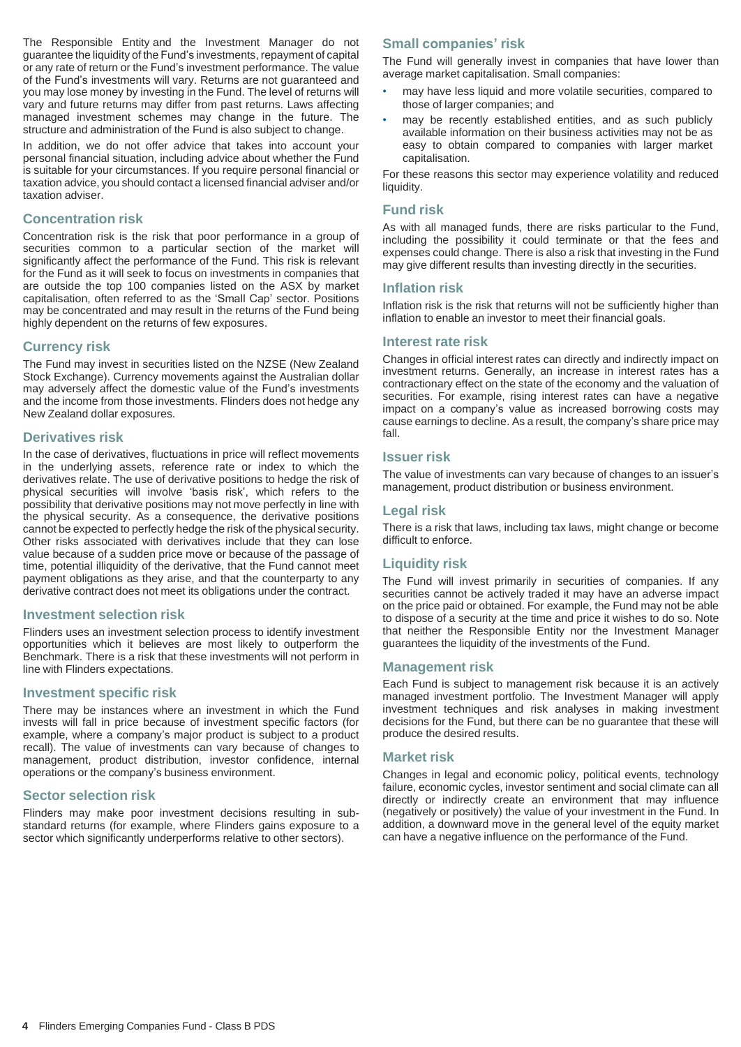The Responsible Entity and the Investment Manager do not guarantee the liquidity of the Fund's investments, repayment of capital or any rate of return or the Fund's investment performance. The value of the Fund's investments will vary. Returns are not guaranteed and you may lose money by investing in the Fund. The level of returns will vary and future returns may differ from past returns. Laws affecting managed investment schemes may change in the future. The structure and administration of the Fund is also subject to change.

In addition, we do not offer advice that takes into account your personal financial situation, including advice about whether the Fund is suitable for your circumstances. If you require personal financial or taxation advice, you should contact a licensed financial adviser and/or taxation adviser.

#### **Concentration risk**

Concentration risk is the risk that poor performance in a group of securities common to a particular section of the market will significantly affect the performance of the Fund. This risk is relevant for the Fund as it will seek to focus on investments in companies that are outside the top 100 companies listed on the ASX by market capitalisation, often referred to as the 'Small Cap' sector. Positions may be concentrated and may result in the returns of the Fund being highly dependent on the returns of few exposures.

#### **Currency risk**

The Fund may invest in securities listed on the NZSE (New Zealand Stock Exchange). Currency movements against the Australian dollar may adversely affect the domestic value of the Fund's investments and the income from those investments. Flinders does not hedge any New Zealand dollar exposures.

#### **Derivatives risk**

In the case of derivatives, fluctuations in price will reflect movements in the underlying assets, reference rate or index to which the derivatives relate. The use of derivative positions to hedge the risk of physical securities will involve 'basis risk', which refers to the possibility that derivative positions may not move perfectly in line with the physical security. As a consequence, the derivative positions cannot be expected to perfectly hedge the risk of the physical security. Other risks associated with derivatives include that they can lose value because of a sudden price move or because of the passage of time, potential illiquidity of the derivative, that the Fund cannot meet payment obligations as they arise, and that the counterparty to any derivative contract does not meet its obligations under the contract.

#### **Investment selection risk**

Flinders uses an investment selection process to identify investment opportunities which it believes are most likely to outperform the Benchmark. There is a risk that these investments will not perform in line with Flinders expectations.

#### **Investment specific risk**

There may be instances where an investment in which the Fund invests will fall in price because of investment specific factors (for example, where a company's major product is subject to a product recall). The value of investments can vary because of changes to management, product distribution, investor confidence, internal operations or the company's business environment.

#### **Sector selection risk**

Flinders may make poor investment decisions resulting in substandard returns (for example, where Flinders gains exposure to a sector which significantly underperforms relative to other sectors).

#### **Small companies' risk**

The Fund will generally invest in companies that have lower than average market capitalisation. Small companies:

- may have less liquid and more volatile securities, compared to those of larger companies; and
- may be recently established entities, and as such publicly available information on their business activities may not be as easy to obtain compared to companies with larger market capitalisation.

For these reasons this sector may experience volatility and reduced liquidity.

#### **Fund risk**

As with all managed funds, there are risks particular to the Fund, including the possibility it could terminate or that the fees and expenses could change. There is also a risk that investing in the Fund may give different results than investing directly in the securities.

#### **Inflation risk**

Inflation risk is the risk that returns will not be sufficiently higher than inflation to enable an investor to meet their financial goals.

#### **Interest rate risk**

Changes in official interest rates can directly and indirectly impact on investment returns. Generally, an increase in interest rates has a contractionary effect on the state of the economy and the valuation of securities. For example, rising interest rates can have a negative impact on a company's value as increased borrowing costs may cause earnings to decline. As a result, the company's share price may fall.

#### **Issuer risk**

The value of investments can vary because of changes to an issuer's management, product distribution or business environment.

#### **Legal risk**

There is a risk that laws, including tax laws, might change or become difficult to enforce.

#### **Liquidity risk**

The Fund will invest primarily in securities of companies. If any securities cannot be actively traded it may have an adverse impact on the price paid or obtained. For example, the Fund may not be able to dispose of a security at the time and price it wishes to do so. Note that neither the Responsible Entity nor the Investment Manager guarantees the liquidity of the investments of the Fund.

#### **Management risk**

Each Fund is subject to management risk because it is an actively managed investment portfolio. The Investment Manager will apply investment techniques and risk analyses in making investment decisions for the Fund, but there can be no guarantee that these will produce the desired results.

#### **Market risk**

Changes in legal and economic policy, political events, technology failure, economic cycles, investor sentiment and social climate can all directly or indirectly create an environment that may influence (negatively or positively) the value of your investment in the Fund. In addition, a downward move in the general level of the equity market can have a negative influence on the performance of the Fund.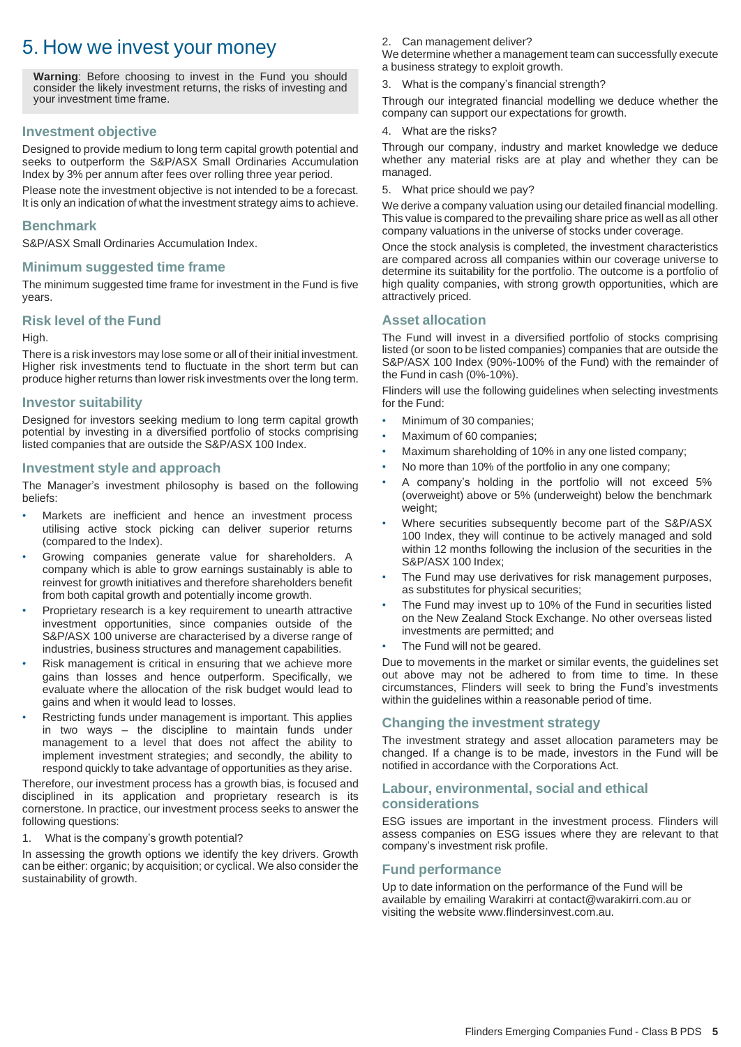# 5. How we invest your money

**Warning**: Before choosing to invest in the Fund you should consider the likely investment returns, the risks of investing and your investment time frame.

#### **Investment objective**

Designed to provide medium to long term capital growth potential and seeks to outperform the S&P/ASX Small Ordinaries Accumulation Index by 3% per annum after fees over rolling three year period.

Please note the investment objective is not intended to be a forecast. It is only an indication of what the investment strategy aims to achieve.

#### **Benchmark**

S&P/ASX Small Ordinaries Accumulation Index.

#### **Minimum suggested time frame**

The minimum suggested time frame for investment in the Fund is five years.

#### **Risk level of the Fund**

#### High.

There is a risk investors may lose some or all of their initial investment. Higher risk investments tend to fluctuate in the short term but can produce higher returns than lower risk investments over the long term.

#### **Investor suitability**

Designed for investors seeking medium to long term capital growth potential by investing in a diversified portfolio of stocks comprising listed companies that are outside the S&P/ASX 100 Index.

#### **Investment style and approach**

The Manager's investment philosophy is based on the following beliefs:

- Markets are inefficient and hence an investment process utilising active stock picking can deliver superior returns (compared to the Index).
- Growing companies generate value for shareholders. A company which is able to grow earnings sustainably is able to reinvest for growth initiatives and therefore shareholders benefit from both capital growth and potentially income growth.
- Proprietary research is a key requirement to unearth attractive investment opportunities, since companies outside of the S&P/ASX 100 universe are characterised by a diverse range of industries, business structures and management capabilities.
- Risk management is critical in ensuring that we achieve more gains than losses and hence outperform. Specifically, we evaluate where the allocation of the risk budget would lead to gains and when it would lead to losses.
- Restricting funds under management is important. This applies in two ways – the discipline to maintain funds under management to a level that does not affect the ability to implement investment strategies; and secondly, the ability to respond quickly to take advantage of opportunities as they arise.

Therefore, our investment process has a growth bias, is focused and disciplined in its application and proprietary research is its cornerstone. In practice, our investment process seeks to answer the following questions:

1. What is the company's growth potential?

In assessing the growth options we identify the key drivers. Growth can be either: organic; by acquisition; or cyclical. We also consider the sustainability of growth.

#### 2. Can management deliver?

We determine whether a management team can successfully execute a business strategy to exploit growth.

3. What is the company's financial strength?

Through our integrated financial modelling we deduce whether the company can support our expectations for growth.

What are the risks?

Through our company, industry and market knowledge we deduce whether any material risks are at play and whether they can be managed.

5. What price should we pay?

We derive a company valuation using our detailed financial modelling. This value is compared to the prevailing share price as well as all other company valuations in the universe of stocks under coverage.

Once the stock analysis is completed, the investment characteristics are compared across all companies within our coverage universe to determine its suitability for the portfolio. The outcome is a portfolio of high quality companies, with strong growth opportunities, which are attractively priced.

#### **Asset allocation**

The Fund will invest in a diversified portfolio of stocks comprising listed (or soon to be listed companies) companies that are outside the S&P/ASX 100 Index (90%-100% of the Fund) with the remainder of the Fund in cash (0%-10%).

Flinders will use the following guidelines when selecting investments for the Fund:

- Minimum of 30 companies;
- Maximum of 60 companies;
- Maximum shareholding of 10% in any one listed company;
- No more than 10% of the portfolio in any one company;
- A company's holding in the portfolio will not exceed 5% (overweight) above or 5% (underweight) below the benchmark weight;
- Where securities subsequently become part of the S&P/ASX 100 Index, they will continue to be actively managed and sold within 12 months following the inclusion of the securities in the S&P/ASX 100 Index;
- The Fund may use derivatives for risk management purposes, as substitutes for physical securities;
- The Fund may invest up to 10% of the Fund in securities listed on the New Zealand Stock Exchange. No other overseas listed investments are permitted; and
- The Fund will not be geared.

Due to movements in the market or similar events, the guidelines set out above may not be adhered to from time to time. In these circumstances, Flinders will seek to bring the Fund's investments within the guidelines within a reasonable period of time.

#### **Changing the investment strategy**

The investment strategy and asset allocation parameters may be changed. If a change is to be made, investors in the Fund will be notified in accordance with the Corporations Act.

#### **Labour, environmental, social and ethical considerations**

ESG issues are important in the investment process. Flinders will assess companies on ESG issues where they are relevant to that company's investment risk profile.

#### **Fund performance**

Up to date information on the performance of the Fund will be available by emailing Warakirri at contact@warakirri.com.au or visiting the website www.flindersinvest.com.au.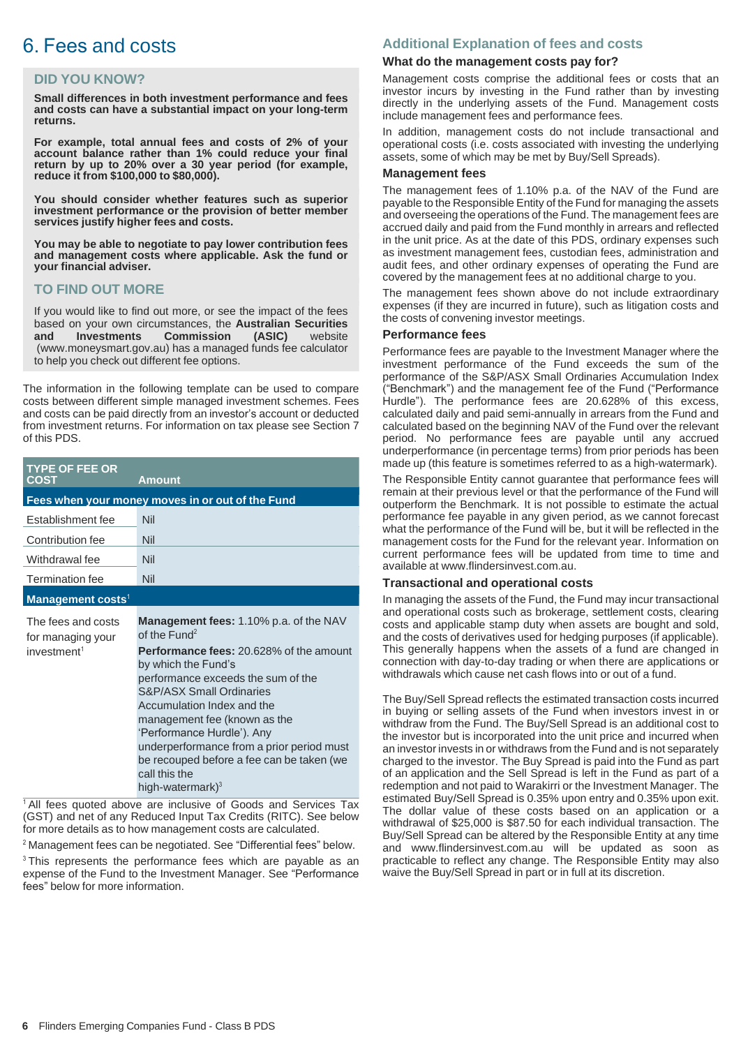# 6. Fees and costs

#### **DID YOU KNOW?**

**Small differences in both investment performance and fees and costs can have a substantial impact on your long-term returns.**

**For example, total annual fees and costs of 2% of your account balance rather than 1% could reduce your final return by up to 20% over a 30 year period (for example, reduce it from \$100,000 to \$80,000).**

**You should consider whether features such as superior investment performance or the provision of better member services justify higher fees and costs.**

**You may be able to negotiate to pay lower contribution fees and management costs where applicable. Ask the fund or your financial adviser.**

#### **TO FIND OUT MORE**

If you would like to find out more, or see the impact of the fees based on your own circumstances, the **Australian Securities and Investments Commission (ASIC)** website (www.moneysmart.gov.au) has a managed funds fee calculator to help you check out different fee options.

The information in the following template can be used to compare costs between different simple managed investment schemes. Fees and costs can be paid directly from an investor's account or deducted from investment returns. For information on tax please see Section 7 of this PDS.

| <b>TYPE OF FEE OR</b><br><b>COST</b>                               | <b>Amount</b>                                                                                                                                                                                                                                                                                                                                                                                                                                        |  |  |
|--------------------------------------------------------------------|------------------------------------------------------------------------------------------------------------------------------------------------------------------------------------------------------------------------------------------------------------------------------------------------------------------------------------------------------------------------------------------------------------------------------------------------------|--|--|
| Fees when your money moves in or out of the Fund                   |                                                                                                                                                                                                                                                                                                                                                                                                                                                      |  |  |
| Establishment fee                                                  | Nil                                                                                                                                                                                                                                                                                                                                                                                                                                                  |  |  |
| Contribution fee                                                   | Nil                                                                                                                                                                                                                                                                                                                                                                                                                                                  |  |  |
| Withdrawal fee                                                     | Nil                                                                                                                                                                                                                                                                                                                                                                                                                                                  |  |  |
| <b>Termination fee</b>                                             | Nil                                                                                                                                                                                                                                                                                                                                                                                                                                                  |  |  |
| Management costs <sup>1</sup>                                      |                                                                                                                                                                                                                                                                                                                                                                                                                                                      |  |  |
| The fees and costs<br>for managing your<br>investment <sup>1</sup> | <b>Management fees: 1.10% p.a. of the NAV</b><br>of the $Fund2$<br><b>Performance fees:</b> 20.628% of the amount<br>by which the Fund's<br>performance exceeds the sum of the<br><b>S&amp;P/ASX Small Ordinaries</b><br>Accumulation Index and the<br>management fee (known as the<br>'Performance Hurdle'). Any<br>underperformance from a prior period must<br>be recouped before a fee can be taken (we<br>call this the<br>high-watermark $)^3$ |  |  |

 $1$ All fees quoted above are inclusive of Goods and Services Tax (GST) and net of any Reduced Input Tax Credits (RITC). See below for more details as to how management costs are calculated.

<sup>2</sup> Management fees can be negotiated. See "Differential fees" below.

<sup>3</sup> This represents the performance fees which are payable as an expense of the Fund to the Investment Manager. See "Performance fees" below for more information.

#### **Additional Explanation of fees and costs**

#### **What do the management costs pay for?**

Management costs comprise the additional fees or costs that an investor incurs by investing in the Fund rather than by investing directly in the underlying assets of the Fund. Management costs include management fees and performance fees.

In addition, management costs do not include transactional and operational costs (i.e. costs associated with investing the underlying assets, some of which may be met by Buy/Sell Spreads).

#### **Management fees**

The management fees of 1.10% p.a. of the NAV of the Fund are payable to the Responsible Entity of the Fund for managing the assets and overseeing the operations of the Fund. The management fees are accrued daily and paid from the Fund monthly in arrears and reflected in the unit price. As at the date of this PDS, ordinary expenses such as investment management fees, custodian fees, administration and audit fees, and other ordinary expenses of operating the Fund are covered by the management fees at no additional charge to you.

The management fees shown above do not include extraordinary expenses (if they are incurred in future), such as litigation costs and the costs of convening investor meetings.

#### **Performance fees**

Performance fees are payable to the Investment Manager where the investment performance of the Fund exceeds the sum of the performance of the S&P/ASX Small Ordinaries Accumulation Index ("Benchmark") and the management fee of the Fund ("Performance Hurdle"). The performance fees are 20.628% of this excess, calculated daily and paid semi-annually in arrears from the Fund and calculated based on the beginning NAV of the Fund over the relevant period. No performance fees are payable until any accrued underperformance (in percentage terms) from prior periods has been made up (this feature is sometimes referred to as a high-watermark).

The Responsible Entity cannot guarantee that performance fees will remain at their previous level or that the performance of the Fund will outperform the Benchmark. It is not possible to estimate the actual performance fee payable in any given period, as we cannot forecast what the performance of the Fund will be, but it will be reflected in the management costs for the Fund for the relevant year. Information on current performance fees will be updated from time to time and available at www.flindersinvest.com.au.

#### **Transactional and operational costs**

In managing the assets of the Fund, the Fund may incur transactional and operational costs such as brokerage, settlement costs, clearing costs and applicable stamp duty when assets are bought and sold, and the costs of derivatives used for hedging purposes (if applicable). This generally happens when the assets of a fund are changed in connection with day-to-day trading or when there are applications or withdrawals which cause net cash flows into or out of a fund.

The Buy/Sell Spread reflects the estimated transaction costs incurred in buying or selling assets of the Fund when investors invest in or withdraw from the Fund. The Buy/Sell Spread is an additional cost to the investor but is incorporated into the unit price and incurred when an investor invests in or withdraws from the Fund and is not separately charged to the investor. The Buy Spread is paid into the Fund as part of an application and the Sell Spread is left in the Fund as part of a redemption and not paid to Warakirri or the Investment Manager. The estimated Buy/Sell Spread is 0.35% upon entry and 0.35% upon exit. The dollar value of these costs based on an application or a withdrawal of \$25,000 is \$87.50 for each individual transaction. The Buy/Sell Spread can be altered by the Responsible Entity at any time and www.flindersinvest.com.au will be updated as soon as practicable to reflect any change. The Responsible Entity may also waive the Buy/Sell Spread in part or in full at its discretion.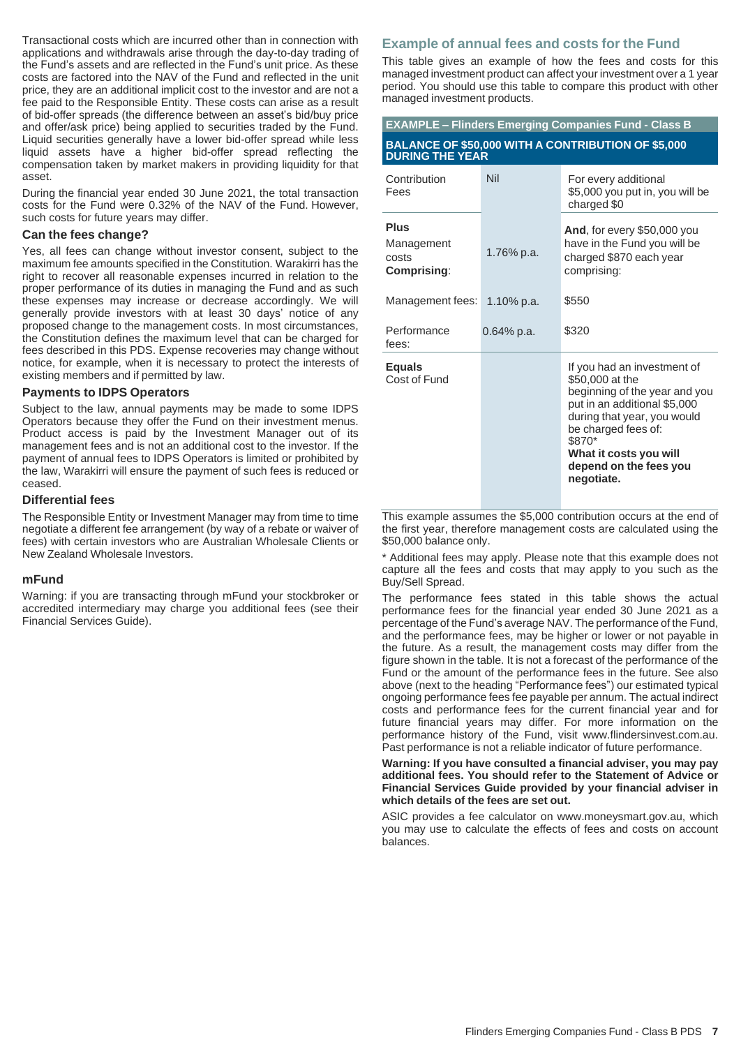Transactional costs which are incurred other than in connection with applications and withdrawals arise through the day-to-day trading of the Fund's assets and are reflected in the Fund's unit price. As these costs are factored into the NAV of the Fund and reflected in the unit price, they are an additional implicit cost to the investor and are not a fee paid to the Responsible Entity. These costs can arise as a result of bid-offer spreads (the difference between an asset's bid/buy price and offer/ask price) being applied to securities traded by the Fund. Liquid securities generally have a lower bid-offer spread while less liquid assets have a higher bid-offer spread reflecting the compensation taken by market makers in providing liquidity for that asset.

During the financial year ended 30 June 2021, the total transaction costs for the Fund were 0.32% of the NAV of the Fund. However, such costs for future years may differ.

#### **Can the fees change?**

Yes, all fees can change without investor consent, subject to the maximum fee amounts specified in the Constitution. Warakirri has the right to recover all reasonable expenses incurred in relation to the proper performance of its duties in managing the Fund and as such these expenses may increase or decrease accordingly. We will generally provide investors with at least 30 days' notice of any proposed change to the management costs. In most circumstances, the Constitution defines the maximum level that can be charged for fees described in this PDS. Expense recoveries may change without notice, for example, when it is necessary to protect the interests of existing members and if permitted by law.

#### **Payments to IDPS Operators**

Subject to the law, annual payments may be made to some IDPS Operators because they offer the Fund on their investment menus. Product access is paid by the Investment Manager out of its management fees and is not an additional cost to the investor. If the payment of annual fees to IDPS Operators is limited or prohibited by the law, Warakirri will ensure the payment of such fees is reduced or ceased.

#### **Differential fees**

The Responsible Entity or Investment Manager may from time to time negotiate a different fee arrangement (by way of a rebate or waiver of fees) with certain investors who are Australian Wholesale Clients or New Zealand Wholesale Investors.

#### **mFund**

Warning: if you are transacting through mFund your stockbroker or accredited intermediary may charge you additional fees (see their Financial Services Guide).

#### **Example of annual fees and costs for the Fund**

This table gives an example of how the fees and costs for this managed investment product can affect your investment over a 1 year period. You should use this table to compare this product with other managed investment products.

| <b>EXAMPLE - Flinders Emerging Companies Fund - Class B</b>                         |            |                                                                                                                                                                                                                                                   |  |
|-------------------------------------------------------------------------------------|------------|---------------------------------------------------------------------------------------------------------------------------------------------------------------------------------------------------------------------------------------------------|--|
| <b>BALANCE OF \$50,000 WITH A CONTRIBUTION OF \$5,000</b><br><b>DURING THE YEAR</b> |            |                                                                                                                                                                                                                                                   |  |
| Contribution<br>Fees                                                                | Nil        | For every additional<br>\$5,000 you put in, you will be<br>charged \$0                                                                                                                                                                            |  |
| Plus<br>Management<br>costs<br>Comprising:                                          | 1.76% p.a. | <b>And, for every \$50,000 you</b><br>have in the Fund you will be<br>charged \$870 each year<br>comprising:                                                                                                                                      |  |
| Management fees:                                                                    | 1.10% p.a. | \$550                                                                                                                                                                                                                                             |  |
| Performance<br>fees:                                                                | 0.64% p.a. | \$320                                                                                                                                                                                                                                             |  |
| <b>Equals</b><br>Cost of Fund                                                       |            | If you had an investment of<br>\$50,000 at the<br>beginning of the year and you<br>put in an additional \$5,000<br>during that year, you would<br>be charged fees of:<br>\$870*<br>What it costs you will<br>depend on the fees you<br>negotiate. |  |

This example assumes the \$5,000 contribution occurs at the end of the first year, therefore management costs are calculated using the \$50,000 balance only.

\* Additional fees may apply. Please note that this example does not capture all the fees and costs that may apply to you such as the Buy/Sell Spread.

The performance fees stated in this table shows the actual performance fees for the financial year ended 30 June 2021 as a percentage of the Fund's average NAV. The performance of the Fund, and the performance fees, may be higher or lower or not payable in the future. As a result, the management costs may differ from the figure shown in the table. It is not a forecast of the performance of the Fund or the amount of the performance fees in the future. See also above (next to the heading "Performance fees") our estimated typical ongoing performance fees fee payable per annum. The actual indirect costs and performance fees for the current financial year and for future financial years may differ. For more information on the performance history of the Fund, visit www.flindersinvest.com.au. Past performance is not a reliable indicator of future performance.

**Warning: If you have consulted a financial adviser, you may pay additional fees. You should refer to the Statement of Advice or Financial Services Guide provided by your financial adviser in which details of the fees are set out.**

ASIC provides a fee calculator on www.moneysmart.gov.au, which you may use to calculate the effects of fees and costs on account balances.